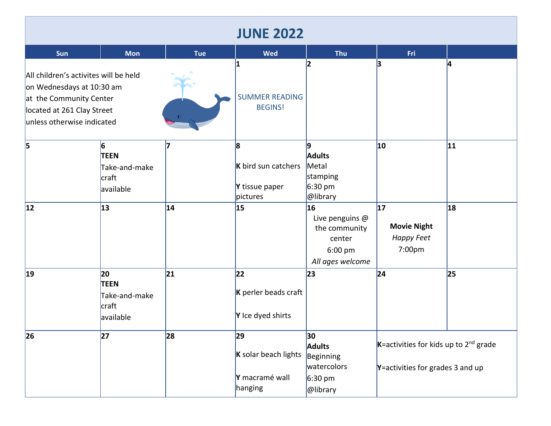| <b>JUNE 2022</b>                                                                                                                                          |                                                          |            |                                                         |                                                                                         |                                                                                             |                 |  |  |  |  |
|-----------------------------------------------------------------------------------------------------------------------------------------------------------|----------------------------------------------------------|------------|---------------------------------------------------------|-----------------------------------------------------------------------------------------|---------------------------------------------------------------------------------------------|-----------------|--|--|--|--|
| Sun                                                                                                                                                       | <b>Mon</b>                                               | <b>Tue</b> | <b>Wed</b>                                              | <b>Thu</b>                                                                              | Fri                                                                                         |                 |  |  |  |  |
| All children's activites will be held<br>on Wednesdays at 10:30 am<br>at the Community Center<br>located at 261 Clay Street<br>unless otherwise indicated |                                                          |            | 1<br><b>SUMMER READING</b><br><b>BEGINS!</b>            |                                                                                         | 3                                                                                           | IΔ              |  |  |  |  |
| $\vert$ 5                                                                                                                                                 | 6<br><b>TEEN</b><br>Take-and-make<br>craft<br>available  |            | 8<br>K bird sun catchers<br>Y tissue paper<br>pictures  | 9<br><b>Adults</b><br>Metal<br>stamping<br>$6:30 \text{ pm}$<br>@library                | 10                                                                                          | 11              |  |  |  |  |
| 12                                                                                                                                                        | 13                                                       | 14         | 15                                                      | 16<br>Live penguins @<br>the community<br>center<br>6:00 pm<br>All ages welcome         | 17<br><b>Movie Night</b><br>Happy Feet<br>7:00pm                                            | 18              |  |  |  |  |
| $ 19\rangle$                                                                                                                                              | 20<br><b>TEEN</b><br>Take-and-make<br>craft<br>available | 21         | 22<br>K perler beads craft<br>Y Ice dyed shirts         | 23                                                                                      | 24                                                                                          | $\overline{25}$ |  |  |  |  |
| 26                                                                                                                                                        | 27                                                       | 28         | 29<br>K solar beach lights<br>Y macramé wall<br>hanging | 30<br><b>Adults</b><br><b>Beginning</b><br>watercolors<br>$6:30 \text{ pm}$<br>@library | $K$ =activities for kids up to 2 <sup>nd</sup> grade<br>$Y$ =activities for grades 3 and up |                 |  |  |  |  |